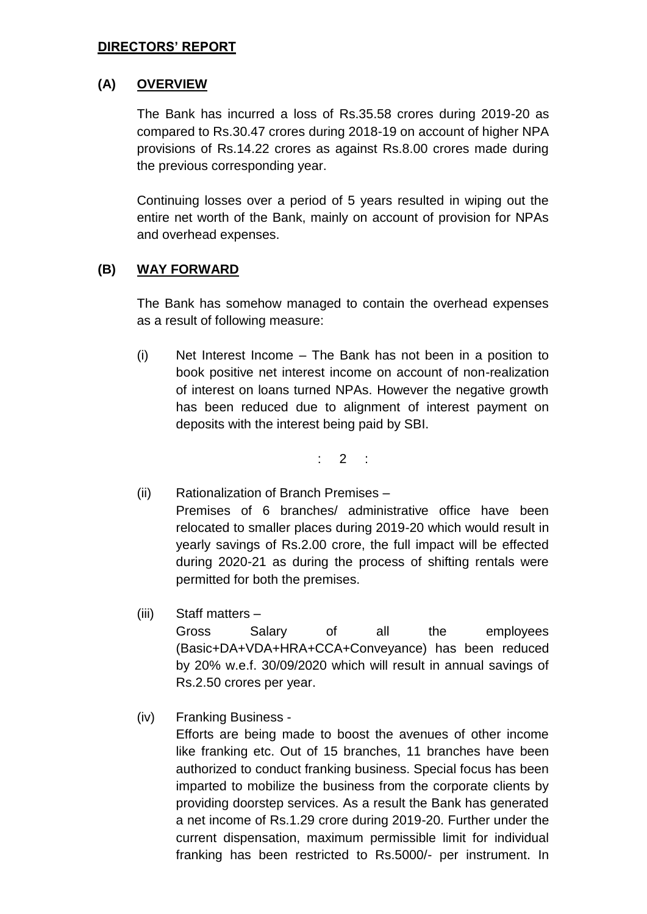#### **DIRECTORS' REPORT**

# **(A) OVERVIEW**

The Bank has incurred a loss of Rs.35.58 crores during 2019-20 as compared to Rs.30.47 crores during 2018-19 on account of higher NPA provisions of Rs.14.22 crores as against Rs.8.00 crores made during the previous corresponding year.

Continuing losses over a period of 5 years resulted in wiping out the entire net worth of the Bank, mainly on account of provision for NPAs and overhead expenses.

# **(B) WAY FORWARD**

The Bank has somehow managed to contain the overhead expenses as a result of following measure:

(i) Net Interest Income – The Bank has not been in a position to book positive net interest income on account of non-realization of interest on loans turned NPAs. However the negative growth has been reduced due to alignment of interest payment on deposits with the interest being paid by SBI.

 $: 2 :$ 

- (ii) Rationalization of Branch Premises Premises of 6 branches/ administrative office have been relocated to smaller places during 2019-20 which would result in yearly savings of Rs.2.00 crore, the full impact will be effected during 2020-21 as during the process of shifting rentals were permitted for both the premises.
- (iii) Staff matters Gross Salary of all the employees (Basic+DA+VDA+HRA+CCA+Conveyance) has been reduced by 20% w.e.f. 30/09/2020 which will result in annual savings of Rs.2.50 crores per year.
- (iv) Franking Business -

Efforts are being made to boost the avenues of other income like franking etc. Out of 15 branches, 11 branches have been authorized to conduct franking business. Special focus has been imparted to mobilize the business from the corporate clients by providing doorstep services. As a result the Bank has generated a net income of Rs.1.29 crore during 2019-20. Further under the current dispensation, maximum permissible limit for individual franking has been restricted to Rs.5000/- per instrument. In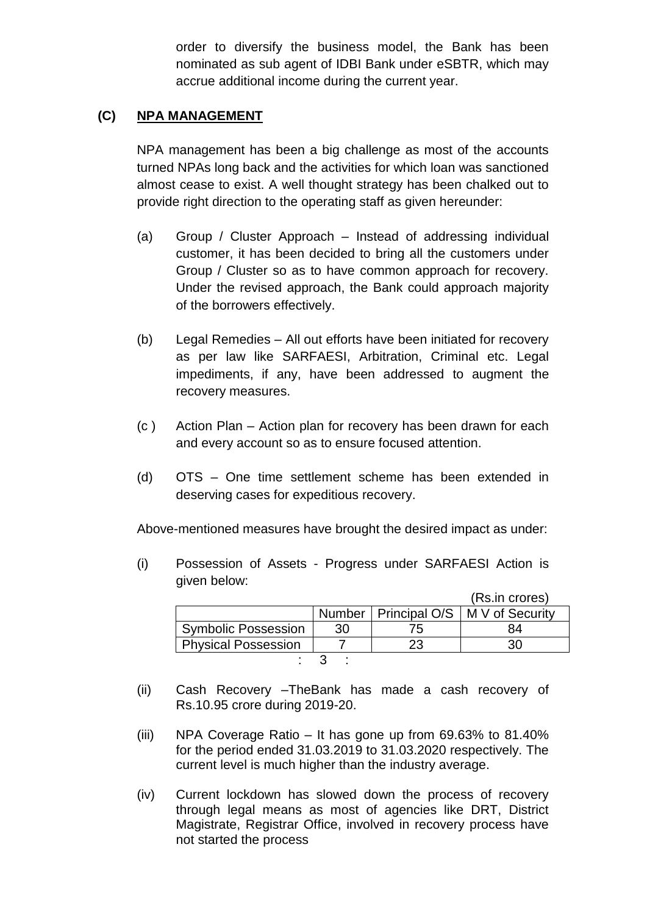order to diversify the business model, the Bank has been nominated as sub agent of IDBI Bank under eSBTR, which may accrue additional income during the current year.

### **(C) NPA MANAGEMENT**

NPA management has been a big challenge as most of the accounts turned NPAs long back and the activities for which loan was sanctioned almost cease to exist. A well thought strategy has been chalked out to provide right direction to the operating staff as given hereunder:

- (a) Group / Cluster Approach Instead of addressing individual customer, it has been decided to bring all the customers under Group / Cluster so as to have common approach for recovery. Under the revised approach, the Bank could approach majority of the borrowers effectively.
- (b) Legal Remedies All out efforts have been initiated for recovery as per law like SARFAESI, Arbitration, Criminal etc. Legal impediments, if any, have been addressed to augment the recovery measures.
- (c ) Action Plan Action plan for recovery has been drawn for each and every account so as to ensure focused attention.
- (d) OTS One time settlement scheme has been extended in deserving cases for expeditious recovery.

Above-mentioned measures have brought the desired impact as under:

(i) Possession of Assets - Progress under SARFAESI Action is given below:

|                            |    |     | (Rs.in crores)                           |
|----------------------------|----|-----|------------------------------------------|
|                            |    |     | Number   Principal O/S   M V of Security |
| <b>Symbolic Possession</b> | 30 | 75. |                                          |
| <b>Physical Possession</b> |    |     |                                          |
|                            |    |     |                                          |

- (ii) Cash Recovery –TheBank has made a cash recovery of Rs.10.95 crore during 2019-20.
- (iii) NPA Coverage Ratio It has gone up from 69.63% to 81.40% for the period ended 31.03.2019 to 31.03.2020 respectively. The current level is much higher than the industry average.
- (iv) Current lockdown has slowed down the process of recovery through legal means as most of agencies like DRT, District Magistrate, Registrar Office, involved in recovery process have not started the process